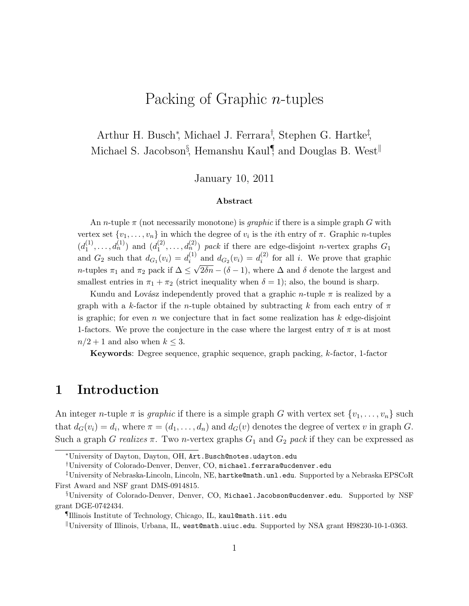# Packing of Graphic n-tuples

## Arthur H. Busch<sup>∗</sup> , Michael J. Ferrara† , Stephen G. Hartke‡ , Michael S. Jacobson<sup>§</sup>, Hemanshu Kaul<sup>¶</sup>, and Douglas B. West<sup>||</sup>

#### January 10, 2011

#### Abstract

An n-tuple  $\pi$  (not necessarily monotone) is *graphic* if there is a simple graph G with vertex set  $\{v_1, \ldots, v_n\}$  in which the degree of  $v_i$  is the *i*th entry of  $\pi$ . Graphic *n*-tuples  $(d_1^{(1)}$  $\binom{1}{1}, \ldots, d_n^{(1)}$  and  $\binom{d_1^{(2)}}{1}$  $\mathcal{L}_1^{(2)}, \ldots, \mathcal{d}_n^{(2)}$  pack if there are edge-disjoint n-vertex graphs  $G_1$ and  $G_2$  such that  $d_{G_1}(v_i) = d_i^{(1)}$  $i^{(1)}$  and  $d_{G_2}(v_i) = d_i^{(2)}$  $i^{(2)}$  for all *i*. We prove that graphic *n*-tuples  $\pi_1$  and  $\pi_2$  pack if  $\Delta \leq \sqrt{2\delta n} - (\delta - 1)$ , where  $\Delta$  and  $\delta$  denote the largest and smallest entries in  $\pi_1 + \pi_2$  (strict inequality when  $\delta = 1$ ); also, the bound is sharp.

Kundu and Lovász independently proved that a graphic n-tuple  $\pi$  is realized by a graph with a k-factor if the n-tuple obtained by subtracting k from each entry of  $\pi$ is graphic; for even  $n$  we conjecture that in fact some realization has  $k$  edge-disjoint 1-factors. We prove the conjecture in the case where the largest entry of  $\pi$  is at most  $n/2 + 1$  and also when  $k \leq 3$ .

**Keywords:** Degree sequence, graphic sequence, graph packing,  $k$ -factor, 1-factor

### 1 Introduction

An integer *n*-tuple  $\pi$  is *graphic* if there is a simple graph G with vertex set  $\{v_1, \ldots, v_n\}$  such that  $d_G(v_i) = d_i$ , where  $\pi = (d_1, \ldots, d_n)$  and  $d_G(v)$  denotes the degree of vertex v in graph G. Such a graph G realizes  $\pi$ . Two *n*-vertex graphs  $G_1$  and  $G_2$  pack if they can be expressed as

<sup>∗</sup>University of Dayton, Dayton, OH, Art.Busch@notes.udayton.edu

<sup>†</sup>University of Colorado-Denver, Denver, CO, michael.ferrara@ucdenver.edu

<sup>‡</sup>University of Nebraska-Lincoln, Lincoln, NE, hartke@math.unl.edu. Supported by a Nebraska EPSCoR First Award and NSF grant DMS-0914815.

<sup>§</sup>University of Colorado-Denver, Denver, CO, Michael.Jacobson@ucdenver.edu. Supported by NSF grant DGE-0742434.

<sup>¶</sup>Illinois Institute of Technology, Chicago, IL, kaul@math.iit.edu

<sup>k</sup>University of Illinois, Urbana, IL, west@math.uiuc.edu. Supported by NSA grant H98230-10-1-0363.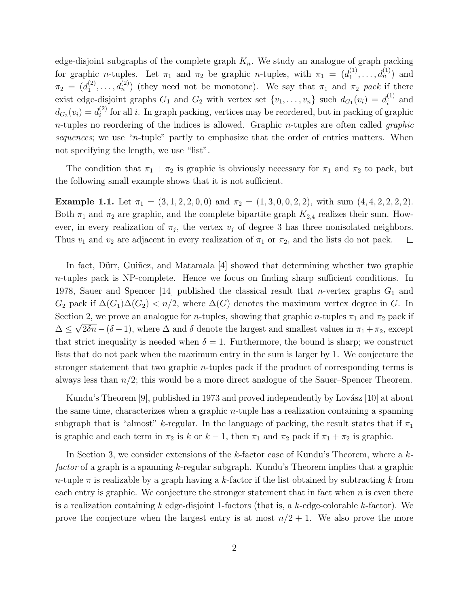edge-disjoint subgraphs of the complete graph  $K_n$ . We study an analogue of graph packing for graphic *n*-tuples. Let  $\pi_1$  and  $\pi_2$  be graphic *n*-tuples, with  $\pi_1 = (d_1^{(1)}$  $j_1^{(1)}, \ldots, d_n^{(1)}$  and  $\pi_2 = (d_1^{(2)}$  $\binom{2}{1}, \ldots, d_n^{(2)}$  (they need not be monotone). We say that  $\pi_1$  and  $\pi_2$  *pack* if there exist edge-disjoint graphs  $G_1$  and  $G_2$  with vertex set  $\{v_1, \ldots, v_n\}$  such  $d_{G_1}(v_i) = d_i^{(1)}$  $i^{\scriptscriptstyle(1)}$  and  $d_{G_2}(v_i) = d_i^{(2)}$  $i^{(2)}$  for all i. In graph packing, vertices may be reordered, but in packing of graphic n-tuples no reordering of the indices is allowed. Graphic n-tuples are often called *graphic sequences*; we use "n-tuple" partly to emphasize that the order of entries matters. When not specifying the length, we use "list".

The condition that  $\pi_1 + \pi_2$  is graphic is obviously necessary for  $\pi_1$  and  $\pi_2$  to pack, but the following small example shows that it is not sufficient.

Example 1.1. Let  $\pi_1 = (3, 1, 2, 2, 0, 0)$  and  $\pi_2 = (1, 3, 0, 0, 2, 2)$ , with sum  $(4, 4, 2, 2, 2, 2)$ . Both  $\pi_1$  and  $\pi_2$  are graphic, and the complete bipartite graph  $K_{2,4}$  realizes their sum. However, in every realization of  $\pi_j$ , the vertex  $v_j$  of degree 3 has three nonisolated neighbors. Thus  $v_1$  and  $v_2$  are adjacent in every realization of  $\pi_1$  or  $\pi_2$ , and the lists do not pack.  $\Box$ 

In fact, Dürr, Guiñez, and Matamala  $[4]$  showed that determining whether two graphic n-tuples pack is NP-complete. Hence we focus on finding sharp sufficient conditions. In 1978, Sauer and Spencer [14] published the classical result that *n*-vertex graphs  $G_1$  and  $G_2$  pack if  $\Delta(G_1)\Delta(G_2) < n/2$ , where  $\Delta(G)$  denotes the maximum vertex degree in G. In Section 2, we prove an analogue for *n*-tuples, showing that graphic *n*-tuples  $\pi_1$  and  $\pi_2$  pack if  $\Delta \leq \sqrt{2\delta n}-(\delta-1)$ , where  $\Delta$  and  $\delta$  denote the largest and smallest values in  $\pi_1+\pi_2$ , except that strict inequality is needed when  $\delta = 1$ . Furthermore, the bound is sharp; we construct lists that do not pack when the maximum entry in the sum is larger by 1. We conjecture the stronger statement that two graphic n-tuples pack if the product of corresponding terms is always less than  $n/2$ ; this would be a more direct analogue of the Sauer–Spencer Theorem.

Kundu's Theorem  $[9]$ , published in 1973 and proved independently by Lovász  $[10]$  at about the same time, characterizes when a graphic  $n$ -tuple has a realization containing a spanning subgraph that is "almost" k-regular. In the language of packing, the result states that if  $\pi_1$ is graphic and each term in  $\pi_2$  is k or  $k-1$ , then  $\pi_1$  and  $\pi_2$  pack if  $\pi_1 + \pi_2$  is graphic.

In Section 3, we consider extensions of the k-factor case of Kundu's Theorem, where a k*factor* of a graph is a spanning k-regular subgraph. Kundu's Theorem implies that a graphic n-tuple  $\pi$  is realizable by a graph having a k-factor if the list obtained by subtracting k from each entry is graphic. We conjecture the stronger statement that in fact when  $n$  is even there is a realization containing k edge-disjoint 1-factors (that is, a k-edge-colorable k-factor). We prove the conjecture when the largest entry is at most  $n/2 + 1$ . We also prove the more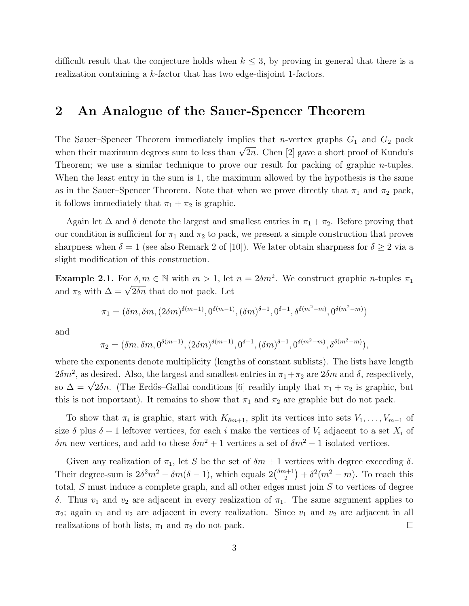difficult result that the conjecture holds when  $k \leq 3$ , by proving in general that there is a realization containing a k-factor that has two edge-disjoint 1-factors.

#### 2 An Analogue of the Sauer-Spencer Theorem

The Sauer–Spencer Theorem immediately implies that *n*-vertex graphs  $G_1$  and  $G_2$  pack when their maximum degrees sum to less than  $\sqrt{2n}$ . Chen [2] gave a short proof of Kundu's Theorem; we use a similar technique to prove our result for packing of graphic n-tuples. When the least entry in the sum is 1, the maximum allowed by the hypothesis is the same as in the Sauer–Spencer Theorem. Note that when we prove directly that  $\pi_1$  and  $\pi_2$  pack, it follows immediately that  $\pi_1 + \pi_2$  is graphic.

Again let  $\Delta$  and  $\delta$  denote the largest and smallest entries in  $\pi_1 + \pi_2$ . Before proving that our condition is sufficient for  $\pi_1$  and  $\pi_2$  to pack, we present a simple construction that proves sharpness when  $\delta = 1$  (see also Remark 2 of [10]). We later obtain sharpness for  $\delta \geq 2$  via a slight modification of this construction.

**Example 2.1.** For  $\delta, m \in \mathbb{N}$  with  $m > 1$ , let  $n = 2\delta m^2$ . We construct graphic *n*-tuples  $\pi_1$ and  $\pi_2$  with  $\Delta = \sqrt{2\delta n}$  that do not pack. Let

$$
\pi_1=(\delta m, \delta m, (2\delta m)^{\delta(m-1)}, 0^{\delta(m-1)}, (\delta m)^{\delta-1}, 0^{\delta-1}, \delta^{\delta(m^2-m)}, 0^{\delta(m^2-m)})
$$

and

$$
\pi_2 = (\delta m, \delta m, 0^{\delta(m-1)}, (2\delta m)^{\delta(m-1)}, 0^{\delta-1}, (\delta m)^{\delta-1}, 0^{\delta(m^2-m)}, \delta^{\delta(m^2-m)}),
$$

where the exponents denote multiplicity (lengths of constant sublists). The lists have length  $2\delta m^2$ , as desired. Also, the largest and smallest entries in  $\pi_1 + \pi_2$  are  $2\delta m$  and  $\delta$ , respectively, so  $\Delta = \sqrt{2\delta n}$ . (The Erdős–Gallai conditions [6] readily imply that  $\pi_1 + \pi_2$  is graphic, but this is not important). It remains to show that  $\pi_1$  and  $\pi_2$  are graphic but do not pack.

To show that  $\pi_i$  is graphic, start with  $K_{\delta m+1}$ , split its vertices into sets  $V_1, \ldots, V_{m-1}$  of size  $\delta$  plus  $\delta + 1$  leftover vertices, for each i make the vertices of  $V_i$  adjacent to a set  $X_i$  of  $\delta m$  new vertices, and add to these  $\delta m^2 + 1$  vertices a set of  $\delta m^2 - 1$  isolated vertices.

Given any realization of  $\pi_1$ , let S be the set of  $\delta m + 1$  vertices with degree exceeding  $\delta$ . Their degree-sum is  $2\delta^2 m^2 - \delta m(\delta - 1)$ , which equals  $2\binom{\delta m + 1}{2}$  $\binom{n+1}{2} + \delta^2(m^2 - m)$ . To reach this total, S must induce a complete graph, and all other edges must join S to vertices of degree δ. Thus  $v_1$  and  $v_2$  are adjacent in every realization of  $\pi_1$ . The same argument applies to  $\pi_2$ ; again  $v_1$  and  $v_2$  are adjacent in every realization. Since  $v_1$  and  $v_2$  are adjacent in all realizations of both lists,  $\pi_1$  and  $\pi_2$  do not pack.  $\Box$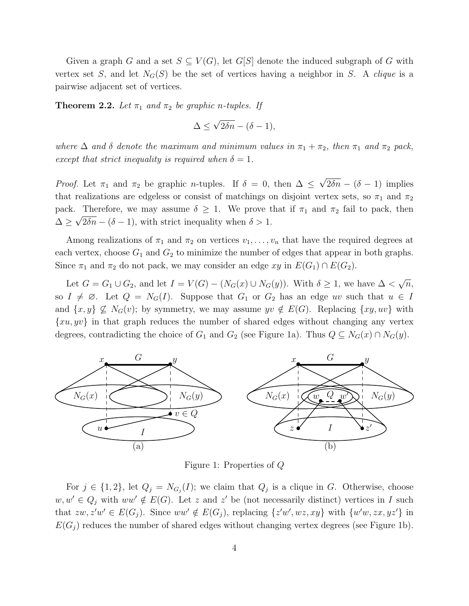Given a graph G and a set  $S \subseteq V(G)$ , let G[S] denote the induced subgraph of G with vertex set S, and let  $N_G(S)$  be the set of vertices having a neighbor in S. A *clique* is a pairwise adjacent set of vertices.

**Theorem 2.2.** Let  $\pi_1$  and  $\pi_2$  be graphic n-tuples. If

$$
\Delta \le \sqrt{2\delta n} - (\delta - 1),
$$

*where*  $\Delta$  *and*  $\delta$  *denote the maximum and minimum values in*  $\pi_1 + \pi_2$ *, then*  $\pi_1$  *and*  $\pi_2$  *pack, except that strict inequality is required when*  $\delta = 1$ *.* 

*Proof.* Let  $\pi_1$  and  $\pi_2$  be graphic *n*-tuples. If  $\delta = 0$ , then  $\Delta \leq \sqrt{2\delta n} - (\delta - 1)$  implies that realizations are edgeless or consist of matchings on disjoint vertex sets, so  $\pi_1$  and  $\pi_2$ pack. Therefore, we may assume  $\delta \geq 1$ . We prove that if  $\pi_1$  and  $\pi_2$  fail to pack, then  $\Delta \geq \sqrt{2\delta n} - (\delta - 1)$ , with strict inequality when  $\delta > 1$ .

Among realizations of  $\pi_1$  and  $\pi_2$  on vertices  $v_1, \ldots, v_n$  that have the required degrees at each vertex, choose  $G_1$  and  $G_2$  to minimize the number of edges that appear in both graphs. Since  $\pi_1$  and  $\pi_2$  do not pack, we may consider an edge xy in  $E(G_1) \cap E(G_2)$ .

Let  $G = G_1 \cup G_2$ , and let  $I = V(G) - (N_G(x) \cup N_G(y))$ . With  $\delta \geq 1$ , we have  $\Delta < \sqrt{n}$ , so  $I \neq \emptyset$ . Let  $Q = N_G(I)$ . Suppose that  $G_1$  or  $G_2$  has an edge uv such that  $u \in I$ and  $\{x,y\} \nsubseteq N_G(v)$ ; by symmetry, we may assume  $yv \notin E(G)$ . Replacing  $\{xy,uv\}$  with  $\{xu, yv\}$  in that graph reduces the number of shared edges without changing any vertex degrees, contradicting the choice of  $G_1$  and  $G_2$  (see Figure 1a). Thus  $Q \subseteq N_G(x) \cap N_G(y)$ .



Figure 1: Properties of Q

For  $j \in \{1,2\}$ , let  $Q_j = N_{G_j}(I)$ ; we claim that  $Q_j$  is a clique in G. Otherwise, choose  $w, w' \in Q_j$  with  $ww' \notin E(G)$ . Let z and z' be (not necessarily distinct) vertices in I such that  $zw, z'w' \in E(G_j)$ . Since  $ww' \notin E(G_j)$ , replacing  $\{z'w', wz, xy\}$  with  $\{w'w, zx, yz'\}$  in  $E(G_j)$  reduces the number of shared edges without changing vertex degrees (see Figure 1b).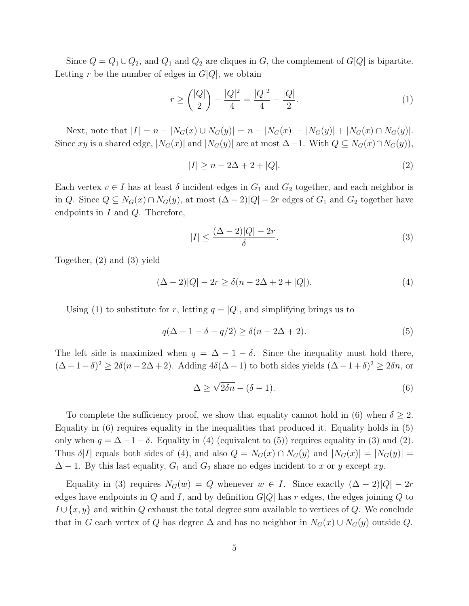Since  $Q = Q_1 \cup Q_2$ , and  $Q_1$  and  $Q_2$  are cliques in G, the complement of  $G[Q]$  is bipartite. Letting r be the number of edges in  $G[Q]$ , we obtain

$$
r \ge \binom{|Q|}{2} - \frac{|Q|^2}{4} = \frac{|Q|^2}{4} - \frac{|Q|}{2}.\tag{1}
$$

Next, note that  $|I| = n - |N_G(x) \cup N_G(y)| = n - |N_G(x)| - |N_G(y)| + |N_G(x) \cap N_G(y)|$ . Since xy is a shared edge,  $|N_G(x)|$  and  $|N_G(y)|$  are at most  $\Delta-1$ . With  $Q \subseteq N_G(x) \cap N_G(y)$ ,

$$
|I| \ge n - 2\Delta + 2 + |Q|.\tag{2}
$$

Each vertex  $v \in I$  has at least  $\delta$  incident edges in  $G_1$  and  $G_2$  together, and each neighbor is in Q. Since  $Q \subseteq N_G(x) \cap N_G(y)$ , at most  $(\Delta - 2)|Q| - 2r$  edges of  $G_1$  and  $G_2$  together have endpoints in  $I$  and  $Q$ . Therefore,

$$
|I| \le \frac{(\Delta - 2)|Q| - 2r}{\delta}.\tag{3}
$$

Together, (2) and (3) yield

$$
(\Delta - 2)|Q| - 2r \ge \delta(n - 2\Delta + 2 + |Q|). \tag{4}
$$

Using (1) to substitute for r, letting  $q = |Q|$ , and simplifying brings us to

$$
q(\Delta - 1 - \delta - q/2) \ge \delta(n - 2\Delta + 2). \tag{5}
$$

The left side is maximized when  $q = \Delta - 1 - \delta$ . Since the inequality must hold there,  $(\Delta - 1 - \delta)^2 \ge 2\delta(n - 2\Delta + 2)$ . Adding  $4\delta(\Delta - 1)$  to both sides yields  $(\Delta - 1 + \delta)^2 \ge 2\delta n$ , or

$$
\Delta \ge \sqrt{2\delta n} - (\delta - 1). \tag{6}
$$

To complete the sufficiency proof, we show that equality cannot hold in (6) when  $\delta \geq 2$ . Equality in (6) requires equality in the inequalities that produced it. Equality holds in (5) only when  $q = \Delta - 1 - \delta$ . Equality in (4) (equivalent to (5)) requires equality in (3) and (2). Thus  $\delta|I|$  equals both sides of (4), and also  $Q = N_G(x) \cap N_G(y)$  and  $|N_G(x)| = |N_G(y)| =$  $\Delta - 1$ . By this last equality,  $G_1$  and  $G_2$  share no edges incident to x or y except xy.

Equality in (3) requires  $N_G(w) = Q$  whenever  $w \in I$ . Since exactly  $(\Delta - 2)|Q| - 2r$ edges have endpoints in  $Q$  and  $I$ , and by definition  $G[Q]$  has r edges, the edges joining  $Q$  to  $I \cup \{x, y\}$  and within Q exhaust the total degree sum available to vertices of Q. We conclude that in G each vertex of Q has degree  $\Delta$  and has no neighbor in  $N_G(x) \cup N_G(y)$  outside Q.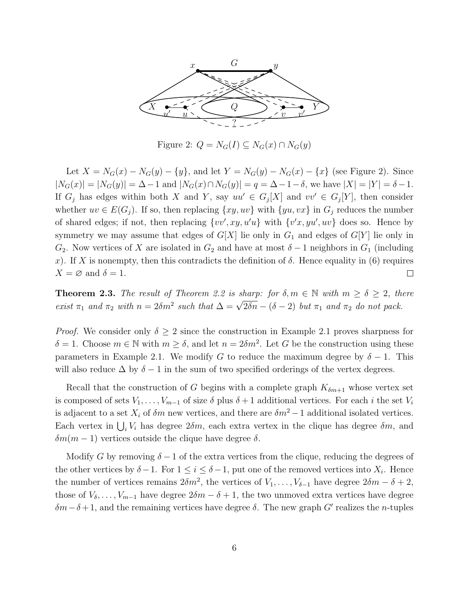

Figure 2:  $Q = N_G(I) \subseteq N_G(x) \cap N_G(y)$ 

Let  $X = N_G(x) - N_G(y) - \{y\}$ , and let  $Y = N_G(y) - N_G(x) - \{x\}$  (see Figure 2). Since  $|N_G(x)| = |N_G(y)| = \Delta - 1$  and  $|N_G(x) \cap N_G(y)| = q = \Delta - 1 - \delta$ , we have  $|X| = |Y| = \delta - 1$ . If  $G_j$  has edges within both X and Y, say  $uu' \in G_j[X]$  and  $vv' \in G_j[Y]$ , then consider whether  $uv \in E(G_i)$ . If so, then replacing  $\{xy, uv\}$  with  $\{yu, vx\}$  in  $G_i$  reduces the number of shared edges; if not, then replacing  $\{vv', xy, u'u\}$  with  $\{v'x, yu', uv\}$  does so. Hence by symmetry we may assume that edges of  $G[X]$  lie only in  $G_1$  and edges of  $G[Y]$  lie only in  $G_2$ . Now vertices of X are isolated in  $G_2$  and have at most  $\delta - 1$  neighbors in  $G_1$  (including x). If X is nonempty, then this contradicts the definition of  $\delta$ . Hence equality in (6) requires  $X = \varnothing$  and  $\delta = 1$ .  $\Box$ 

**Theorem 2.3.** *The result of Theorem 2.2 is sharp: for*  $\delta, m \in \mathbb{N}$  *with*  $m \geq \delta \geq 2$ *, there exist*  $\pi_1$  *and*  $\pi_2$  *with*  $n = 2\delta m^2$  *such that*  $\Delta = \sqrt{2\delta n} - (\delta - 2)$  *but*  $\pi_1$  *and*  $\pi_2$  *do not pack.* 

*Proof.* We consider only  $\delta \geq 2$  since the construction in Example 2.1 proves sharpness for  $\delta = 1$ . Choose  $m \in \mathbb{N}$  with  $m \ge \delta$ , and let  $n = 2\delta m^2$ . Let G be the construction using these parameters in Example 2.1. We modify G to reduce the maximum degree by  $\delta - 1$ . This will also reduce  $\Delta$  by  $\delta - 1$  in the sum of two specified orderings of the vertex degrees.

Recall that the construction of G begins with a complete graph  $K_{\delta m+1}$  whose vertex set is composed of sets  $V_1, \ldots, V_{m-1}$  of size  $\delta$  plus  $\delta + 1$  additional vertices. For each i the set  $V_i$ is adjacent to a set  $X_i$  of  $\delta m$  new vertices, and there are  $\delta m^2 - 1$  additional isolated vertices. Each vertex in  $\bigcup_i V_i$  has degree  $2\delta m$ , each extra vertex in the clique has degree  $\delta m$ , and  $\delta m(m-1)$  vertices outside the clique have degree  $\delta$ .

Modify G by removing  $\delta - 1$  of the extra vertices from the clique, reducing the degrees of the other vertices by  $\delta - 1$ . For  $1 \leq i \leq \delta - 1$ , put one of the removed vertices into  $X_i$ . Hence the number of vertices remains  $2\delta m^2$ , the vertices of  $V_1, \ldots, V_{\delta-1}$  have degree  $2\delta m - \delta + 2$ , those of  $V_{\delta}, \ldots, V_{m-1}$  have degree  $2\delta m - \delta + 1$ , the two unmoved extra vertices have degree  $\delta m-\delta+1$ , and the remaining vertices have degree  $\delta$ . The new graph G' realizes the n-tuples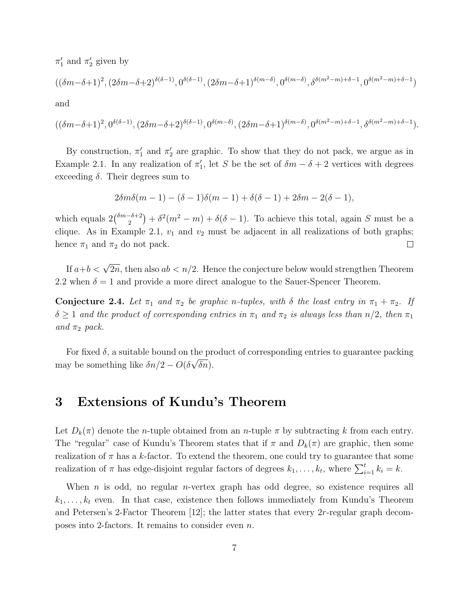$\pi'_1$  and  $\pi'_2$  given by

$$
((\delta m-\delta+1)^2, (2\delta m-\delta+2)^{\delta(\delta-1)}, 0^{\delta(\delta-1)}, (2\delta m-\delta+1)^{\delta(m-\delta)}, 0^{\delta(m-\delta)}, \delta^{\delta(m^2-m)+\delta-1}, 0^{\delta(m^2-m)+\delta-1})
$$

and

$$
((\delta m-\delta+1)^2,0^{\delta(\delta-1)},(2\delta m-\delta+2)^{\delta(\delta-1)},0^{\delta(m-\delta)},(2\delta m-\delta+1)^{\delta(m-\delta)},0^{\delta(m^2-m)+\delta-1},\delta^{\delta(m^2-m)+\delta-1}).
$$

By construction,  $\pi'_1$  and  $\pi'_2$  are graphic. To show that they do not pack, we argue as in Example 2.1. In any realization of  $\pi'_1$ , let S be the set of  $\delta m - \delta + 2$  vertices with degrees exceeding  $\delta$ . Their degrees sum to

$$
2\delta m\delta(m-1) - (\delta - 1)\delta(m-1) + \delta(\delta - 1) + 2\delta m - 2(\delta - 1),
$$

which equals  $2\binom{\delta m-\delta+2}{2}$  $\binom{-\delta+2}{2} + \delta^2(m^2 - m) + \delta(\delta - 1)$ . To achieve this total, again S must be a clique. As in Example 2.1,  $v_1$  and  $v_2$  must be adjacent in all realizations of both graphs; hence  $\pi_1$  and  $\pi_2$  do not pack.  $\Box$ 

If  $a+b < \sqrt{2n}$ , then also  $ab < n/2$ . Hence the conjecture below would strengthen Theorem 2.2 when  $\delta = 1$  and provide a more direct analogue to the Sauer-Spencer Theorem.

**Conjecture 2.4.** Let  $\pi_1$  and  $\pi_2$  be graphic n-tuples, with  $\delta$  the least entry in  $\pi_1 + \pi_2$ . If  $\delta \geq 1$  *and the product of corresponding entries in*  $\pi_1$  *and*  $\pi_2$  *is always less than*  $n/2$ *, then*  $\pi_1$ *and*  $\pi_2$  *pack.* 

For fixed  $\delta$ , a suitable bound on the product of corresponding entries to guarantee packing may be something like  $\delta n/2 - O(\delta \sqrt{\delta n}).$ 

#### 3 Extensions of Kundu's Theorem

Let  $D_k(\pi)$  denote the *n*-tuple obtained from an *n*-tuple  $\pi$  by subtracting k from each entry. The "regular" case of Kundu's Theorem states that if  $\pi$  and  $D_k(\pi)$  are graphic, then some realization of  $\pi$  has a k-factor. To extend the theorem, one could try to guarantee that some realization of  $\pi$  has edge-disjoint regular factors of degrees  $k_1, \ldots, k_t$ , where  $\sum_{i=1}^t k_i = k$ .

When  $n$  is odd, no regular  $n$ -vertex graph has odd degree, so existence requires all  $k_1, \ldots, k_t$  even. In that case, existence then follows immediately from Kundu's Theorem and Petersen's 2-Factor Theorem [12]; the latter states that every 2r-regular graph decomposes into 2-factors. It remains to consider even n.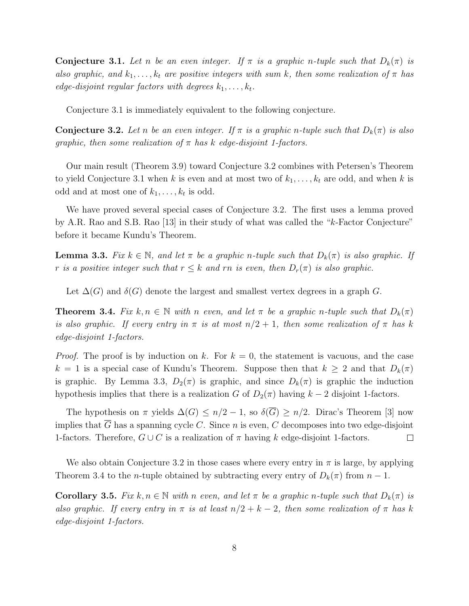**Conjecture 3.1.** Let *n* be an even integer. If  $\pi$  is a graphic *n*-tuple such that  $D_k(\pi)$  is *also graphic, and*  $k_1, \ldots, k_t$  *are positive integers with sum k, then some realization of*  $\pi$  *has edge-disjoint regular factors with degrees*  $k_1, \ldots, k_t$ .

Conjecture 3.1 is immediately equivalent to the following conjecture.

**Conjecture 3.2.** Let n be an even integer. If  $\pi$  is a graphic n-tuple such that  $D_k(\pi)$  is also *graphic, then some realization of* π *has* k *edge-disjoint 1-factors.*

Our main result (Theorem 3.9) toward Conjecture 3.2 combines with Petersen's Theorem to yield Conjecture 3.1 when k is even and at most two of  $k_1, \ldots, k_t$  are odd, and when k is odd and at most one of  $k_1, \ldots, k_t$  is odd.

We have proved several special cases of Conjecture 3.2. The first uses a lemma proved by A.R. Rao and S.B. Rao [13] in their study of what was called the "k-Factor Conjecture" before it became Kundu's Theorem.

**Lemma 3.3.** *Fix*  $k \in \mathbb{N}$ , and let  $\pi$  be a graphic n-tuple such that  $D_k(\pi)$  is also graphic. If *r is a positive integer such that*  $r \leq k$  *and* rn *is even, then*  $D_r(\pi)$  *is also graphic.* 

Let  $\Delta(G)$  and  $\delta(G)$  denote the largest and smallest vertex degrees in a graph G.

**Theorem 3.4.** *Fix*  $k, n \in \mathbb{N}$  *with* n *even, and let*  $\pi$  *be a graphic n-tuple such that*  $D_k(\pi)$ *is also graphic.* If every entry in  $\pi$  *is at most*  $n/2 + 1$ , then some realization of  $\pi$  has k *edge-disjoint 1-factors.*

*Proof.* The proof is by induction on k. For  $k = 0$ , the statement is vacuous, and the case  $k = 1$  is a special case of Kundu's Theorem. Suppose then that  $k \geq 2$  and that  $D_k(\pi)$ is graphic. By Lemma 3.3,  $D_2(\pi)$  is graphic, and since  $D_k(\pi)$  is graphic the induction hypothesis implies that there is a realization G of  $D_2(\pi)$  having  $k-2$  disjoint 1-factors.

The hypothesis on  $\pi$  yields  $\Delta(G) \leq n/2 - 1$ , so  $\delta(\overline{G}) \geq n/2$ . Dirac's Theorem [3] now implies that  $\overline{G}$  has a spanning cycle C. Since n is even, C decomposes into two edge-disjoint 1-factors. Therefore,  $G \cup C$  is a realization of  $\pi$  having k edge-disjoint 1-factors.  $\Box$ 

We also obtain Conjecture 3.2 in those cases where every entry in  $\pi$  is large, by applying Theorem 3.4 to the *n*-tuple obtained by subtracting every entry of  $D_k(\pi)$  from  $n-1$ .

**Corollary 3.5.** *Fix*  $k, n \in \mathbb{N}$  *with* n *even, and let*  $\pi$  *be a graphic* n-tuple such that  $D_k(\pi)$  *is also graphic. If every entry in*  $\pi$  *is at least*  $n/2 + k - 2$ *, then some realization of*  $\pi$  *has* k *edge-disjoint 1-factors.*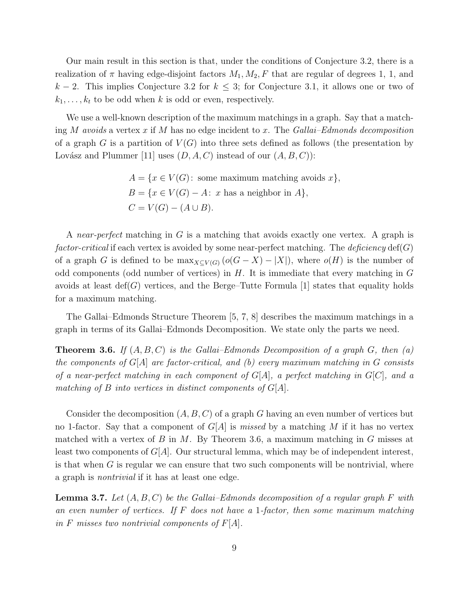Our main result in this section is that, under the conditions of Conjecture 3.2, there is a realization of  $\pi$  having edge-disjoint factors  $M_1, M_2, F$  that are regular of degrees 1, 1, and  $k-2$ . This implies Conjecture 3.2 for  $k \leq 3$ ; for Conjecture 3.1, it allows one or two of  $k_1,\ldots,k_t$  to be odd when k is odd or even, respectively.

We use a well-known description of the maximum matchings in a graph. Say that a matching M *avoids* a vertex x if M has no edge incident to x. The *Gallai–Edmonds decomposition* of a graph G is a partition of  $V(G)$  into three sets defined as follows (the presentation by Lovász and Plummer [11] uses  $(D, A, C)$  instead of our  $(A, B, C)$ :

> $A = \{x \in V(G): \text{ some maximum matching avoids } x\},\$  $B = \{x \in V(G) - A: x \text{ has a neighbor in } A\},\$  $C = V(G) - (A \cup B).$

A *near-perfect* matching in G is a matching that avoids exactly one vertex. A graph is *factor-critical* if each vertex is avoided by some near-perfect matching. The *deficiency* def(G) of a graph G is defined to be  $\max_{X \subseteq V(G)} (o(G - X) - |X|)$ , where  $o(H)$  is the number of odd components (odd number of vertices) in  $H$ . It is immediate that every matching in  $G$ avoids at least  $\text{def}(G)$  vertices, and the Berge–Tutte Formula [1] states that equality holds for a maximum matching.

The Gallai–Edmonds Structure Theorem [5, 7, 8] describes the maximum matchings in a graph in terms of its Gallai–Edmonds Decomposition. We state only the parts we need.

Theorem 3.6. *If* (A,B,C) *is the Gallai–Edmonds Decomposition of a graph* G*, then (a) the components of* G[A] *are factor-critical, and (b) every maximum matching in* G *consists of a near-perfect matching in each component of* G[A]*, a perfect matching in* G[C]*, and a matching of* B *into vertices in distinct components of* G[A]*.*

Consider the decomposition  $(A, B, C)$  of a graph G having an even number of vertices but no 1-factor. Say that a component of  $G[A]$  is *missed* by a matching M if it has no vertex matched with a vertex of B in M. By Theorem 3.6, a maximum matching in G misses at least two components of  $G[A]$ . Our structural lemma, which may be of independent interest, is that when  $G$  is regular we can ensure that two such components will be nontrivial, where a graph is *nontrivial* if it has at least one edge.

Lemma 3.7. *Let* (A,B,C) *be the Gallai–Edmonds decomposition of a regular graph* F *with an even number of vertices. If* F *does not have a* 1*-factor, then some maximum matching in* F *misses two nontrivial components of* F[A]*.*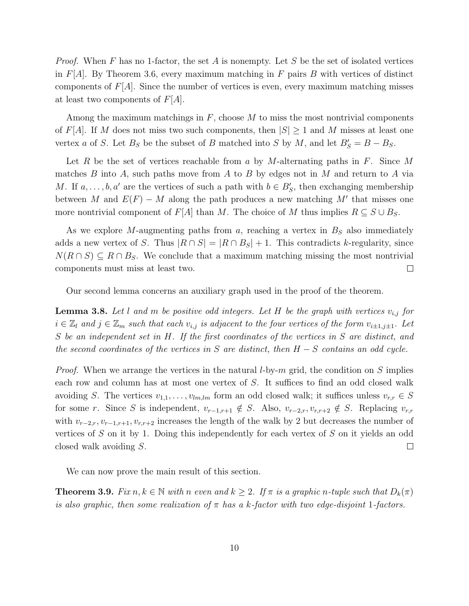*Proof.* When F has no 1-factor, the set A is nonempty. Let S be the set of isolated vertices in  $F[A]$ . By Theorem 3.6, every maximum matching in F pairs B with vertices of distinct components of  $F[A]$ . Since the number of vertices is even, every maximum matching misses at least two components of  $F[A]$ .

Among the maximum matchings in  $F$ , choose  $M$  to miss the most nontrivial components of F[A]. If M does not miss two such components, then  $|S| \geq 1$  and M misses at least one vertex a of S. Let  $B_S$  be the subset of B matched into S by M, and let  $B'_S = B - B_S$ .

Let R be the set of vertices reachable from a by M-alternating paths in F. Since M matches  $B$  into  $A$ , such paths move from  $A$  to  $B$  by edges not in  $M$  and return to  $A$  via M. If  $a, \ldots, b, a'$  are the vertices of such a path with  $b \in B'_{S}$ , then exchanging membership between M and  $E(F) - M$  along the path produces a new matching M' that misses one more nontrivial component of  $F[A]$  than M. The choice of M thus implies  $R \subseteq S \cup B_S$ .

As we explore M-augmenting paths from  $a$ , reaching a vertex in  $B<sub>S</sub>$  also immediately adds a new vertex of S. Thus  $|R \cap S| = |R \cap B_S| + 1$ . This contradicts k-regularity, since  $N(R \cap S) \subseteq R \cap B_S$ . We conclude that a maximum matching missing the most nontrivial components must miss at least two.  $\Box$ 

Our second lemma concerns an auxiliary graph used in the proof of the theorem.

**Lemma 3.8.** Let l and m be positive odd integers. Let H be the graph with vertices  $v_{i,j}$  for  $i \in \mathbb{Z}_l$  and  $j \in \mathbb{Z}_m$  such that each  $v_{i,j}$  is adjacent to the four vertices of the form  $v_{i\pm 1,j\pm 1}$ . Let S *be an independent set in* H*. If the first coordinates of the vertices in* S *are distinct, and the second coordinates of the vertices in* S *are distinct, then* H − S *contains an odd cycle.*

*Proof.* When we arrange the vertices in the natural *l*-by-m grid, the condition on S implies each row and column has at most one vertex of S. It suffices to find an odd closed walk avoiding S. The vertices  $v_{1,1},\ldots,v_{lm,lm}$  form an odd closed walk; it suffices unless  $v_{r,r} \in S$ for some r. Since S is independent,  $v_{r-1,r+1} \notin S$ . Also,  $v_{r-2,r}, v_{r,r+2} \notin S$ . Replacing  $v_{r,r}$ with  $v_{r-2,r}, v_{r-1,r+1}, v_{r,r+2}$  increases the length of the walk by 2 but decreases the number of vertices of S on it by 1. Doing this independently for each vertex of S on it yields an odd closed walk avoiding S.  $\Box$ 

We can now prove the main result of this section.

**Theorem 3.9.** *Fix*  $n, k \in \mathbb{N}$  *with* n *even and*  $k \geq 2$ *. If*  $\pi$  *is a graphic* n-tuple such that  $D_k(\pi)$ *is also graphic, then some realization of* π *has a* k*-factor with two edge-disjoint* 1*-factors.*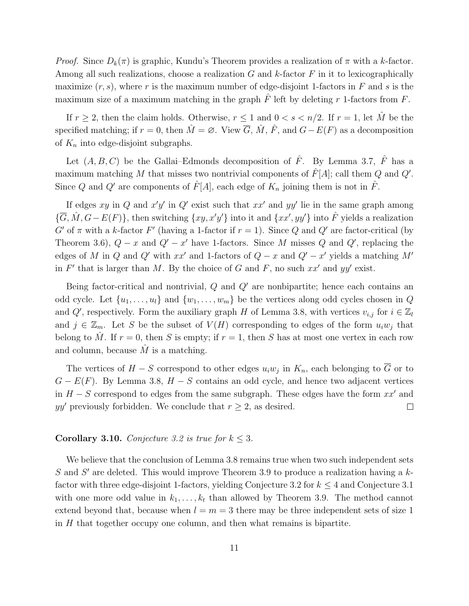*Proof.* Since  $D_k(\pi)$  is graphic, Kundu's Theorem provides a realization of  $\pi$  with a k-factor. Among all such realizations, choose a realization  $G$  and  $k$ -factor  $F$  in it to lexicographically maximize  $(r, s)$ , where r is the maximum number of edge-disjoint 1-factors in F and s is the maximum size of a maximum matching in the graph  $\hat{F}$  left by deleting r 1-factors from F.

If  $r \geq 2$ , then the claim holds. Otherwise,  $r \leq 1$  and  $0 < s < n/2$ . If  $r = 1$ , let  $\hat{M}$  be the specified matching; if  $r = 0$ , then  $\hat{M} = \emptyset$ . View  $\overline{G}$ ,  $\hat{M}$ ,  $\hat{F}$ , and  $G - E(F)$  as a decomposition of  $K_n$  into edge-disjoint subgraphs.

Let  $(A, B, C)$  be the Gallai–Edmonds decomposition of  $\hat{F}$ . By Lemma 3.7,  $\hat{F}$  has a maximum matching M that misses two nontrivial components of  $\hat{F}[A]$ ; call them Q and Q'. Since Q and Q' are components of  $\hat{F}[A]$ , each edge of  $K_n$  joining them is not in  $\hat{F}$ .

If edges xy in Q and  $x'y'$  in Q' exist such that  $xx'$  and  $yy'$  lie in the same graph among  $\{\overline{G}, \hat{M}, G - E(F)\}\$ , then switching  $\{xy, x'y'\}$  into it and  $\{xx', yy'\}$  into  $\hat{F}$  yields a realization  $G'$  of  $\pi$  with a k-factor  $F'$  (having a 1-factor if  $r = 1$ ). Since Q and Q' are factor-critical (by Theorem 3.6),  $Q - x$  and  $Q' - x'$  have 1-factors. Since M misses Q and  $Q'$ , replacing the edges of M in Q and Q' with  $xx'$  and 1-factors of  $Q - x$  and  $Q' - x'$  yields a matching  $M'$ in  $F'$  that is larger than M. By the choice of G and F, no such  $xx'$  and  $yy'$  exist.

Being factor-critical and nontrivial,  $Q$  and  $Q'$  are nonbipartite; hence each contains an odd cycle. Let  $\{u_1, \ldots, u_l\}$  and  $\{w_1, \ldots, w_m\}$  be the vertices along odd cycles chosen in Q and Q', respectively. Form the auxiliary graph H of Lemma 3.8, with vertices  $v_{i,j}$  for  $i \in \mathbb{Z}_l$ and  $j \in \mathbb{Z}_m$ . Let S be the subset of  $V(H)$  corresponding to edges of the form  $u_iw_j$  that belong to  $\hat{M}$ . If  $r = 0$ , then S is empty; if  $r = 1$ , then S has at most one vertex in each row and column, because  $\hat{M}$  is a matching.

The vertices of  $H-S$  correspond to other edges  $u_iw_j$  in  $K_n$ , each belonging to G or to  $G - E(F)$ . By Lemma 3.8,  $H - S$  contains an odd cycle, and hence two adjacent vertices in  $H - S$  correspond to edges from the same subgraph. These edges have the form  $xx'$  and  $yy'$  previously forbidden. We conclude that  $r \geq 2$ , as desired.  $\Box$ 

#### **Corollary 3.10.** *Conjecture 3.2 is true for*  $k \leq 3$ *.*

We believe that the conclusion of Lemma 3.8 remains true when two such independent sets  $S$  and  $S'$  are deleted. This would improve Theorem 3.9 to produce a realization having a  $k$ factor with three edge-disjoint 1-factors, yielding Conjecture 3.2 for  $k \leq 4$  and Conjecture 3.1 with one more odd value in  $k_1, \ldots, k_t$  than allowed by Theorem 3.9. The method cannot extend beyond that, because when  $l = m = 3$  there may be three independent sets of size 1 in  $H$  that together occupy one column, and then what remains is bipartite.